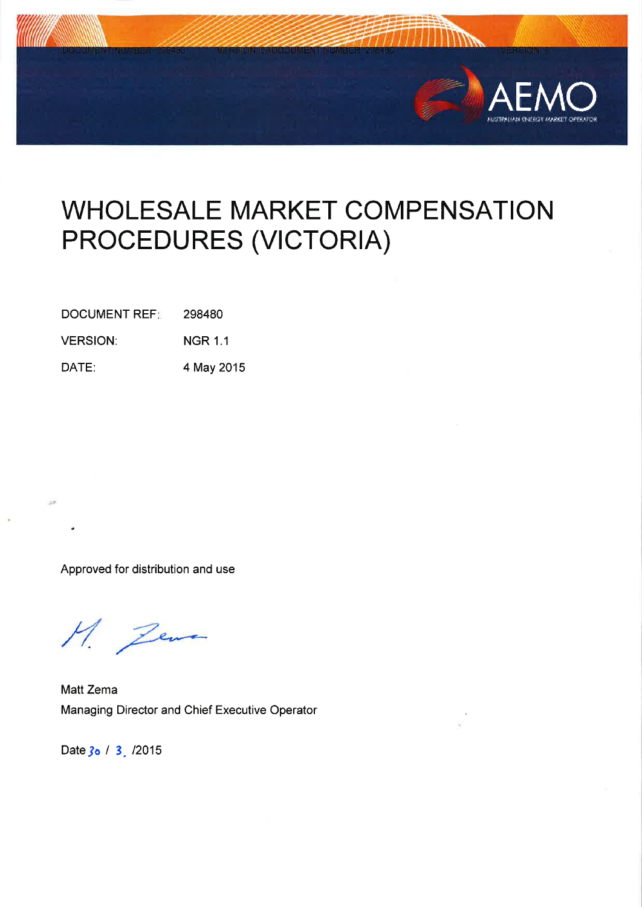

# **WHOLESALE MARKET COMPENSATION** PROCEDURES (VICTORIA)

**DOCUMENT REF:** 298480

**VERSION: NGR 1.1** 

DATE: 4 May 2015

Approved for distribution and use

M. Zewa

Matt Zema Managing Director and Chief Executive Operator

Date 30 / 3 / 2015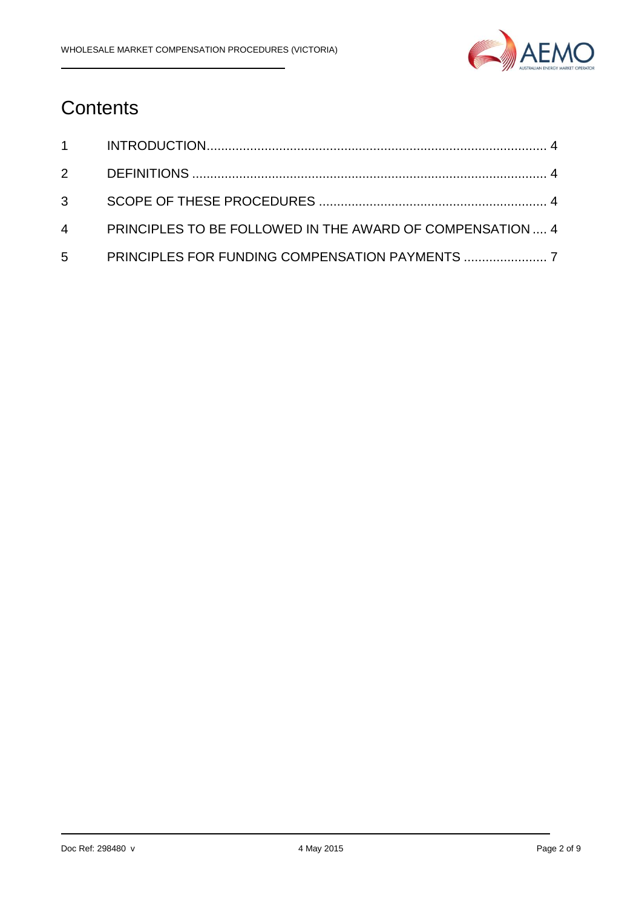

# **Contents**

|             | 4 PRINCIPLES TO BE FOLLOWED IN THE AWARD OF COMPENSATION  4 |  |
|-------------|-------------------------------------------------------------|--|
| $5^{\circ}$ |                                                             |  |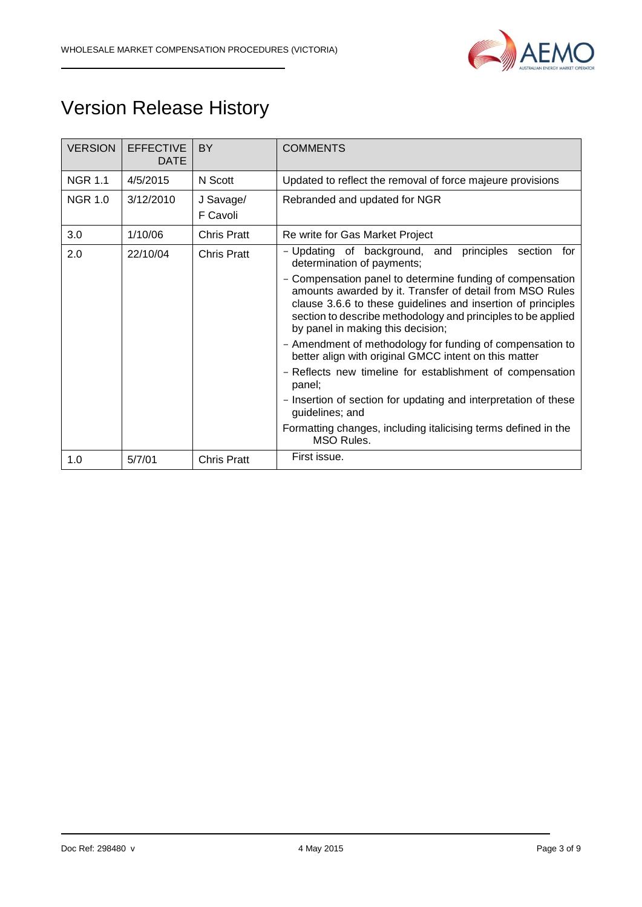

# Version Release History

| <b>VERSION</b> | <b>EFFECTIVE</b><br><b>DATE</b> | BY                    | <b>COMMENTS</b>                                                                                                                                                                                                                                                                            |  |  |  |
|----------------|---------------------------------|-----------------------|--------------------------------------------------------------------------------------------------------------------------------------------------------------------------------------------------------------------------------------------------------------------------------------------|--|--|--|
| <b>NGR 1.1</b> | 4/5/2015                        | N Scott               | Updated to reflect the removal of force majeure provisions                                                                                                                                                                                                                                 |  |  |  |
| <b>NGR 1.0</b> | 3/12/2010                       | J Savage/<br>F Cavoli | Rebranded and updated for NGR                                                                                                                                                                                                                                                              |  |  |  |
| 3.0            | 1/10/06                         | <b>Chris Pratt</b>    | Re write for Gas Market Project                                                                                                                                                                                                                                                            |  |  |  |
| 2.0            | 22/10/04                        | <b>Chris Pratt</b>    | - Updating of background, and<br>principles<br>section<br>for<br>determination of payments;                                                                                                                                                                                                |  |  |  |
|                |                                 |                       | - Compensation panel to determine funding of compensation<br>amounts awarded by it. Transfer of detail from MSO Rules<br>clause 3.6.6 to these guidelines and insertion of principles<br>section to describe methodology and principles to be applied<br>by panel in making this decision; |  |  |  |
|                |                                 |                       | - Amendment of methodology for funding of compensation to<br>better align with original GMCC intent on this matter                                                                                                                                                                         |  |  |  |
|                |                                 |                       | - Reflects new timeline for establishment of compensation<br>panel;                                                                                                                                                                                                                        |  |  |  |
|                |                                 |                       | - Insertion of section for updating and interpretation of these<br>guidelines; and                                                                                                                                                                                                         |  |  |  |
|                |                                 |                       | Formatting changes, including italicising terms defined in the<br>MSO Rules.                                                                                                                                                                                                               |  |  |  |
| 1.0            | 5/7/01                          | <b>Chris Pratt</b>    | First issue.                                                                                                                                                                                                                                                                               |  |  |  |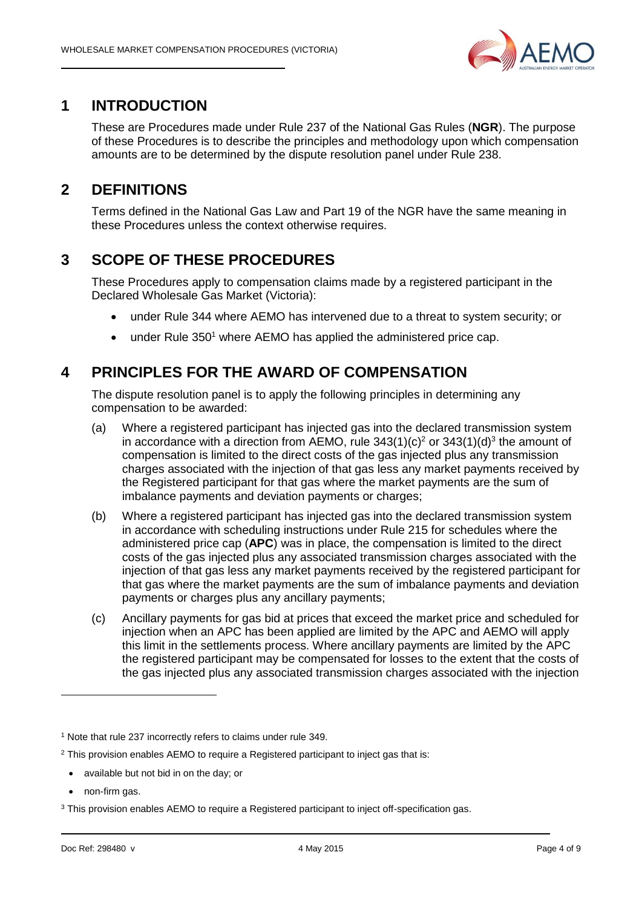

#### **1 INTRODUCTION**

These are Procedures made under Rule 237 of the National Gas Rules (**NGR**). The purpose of these Procedures is to describe the principles and methodology upon which compensation amounts are to be determined by the dispute resolution panel under Rule 238.

## **2 DEFINITIONS**

Terms defined in the National Gas Law and Part 19 of the NGR have the same meaning in these Procedures unless the context otherwise requires.

### **3 SCOPE OF THESE PROCEDURES**

These Procedures apply to compensation claims made by a registered participant in the Declared Wholesale Gas Market (Victoria):

- under Rule 344 where AEMO has intervened due to a threat to system security; or
- $\bullet$  under Rule 350<sup>1</sup> where AEMO has applied the administered price cap.

### **4 PRINCIPLES FOR THE AWARD OF COMPENSATION**

The dispute resolution panel is to apply the following principles in determining any compensation to be awarded:

- (a) Where a registered participant has injected gas into the declared transmission system in accordance with a direction from AEMO, rule  $343(1)(c)^2$  or  $343(1)(d)^3$  the amount of compensation is limited to the direct costs of the gas injected plus any transmission charges associated with the injection of that gas less any market payments received by the Registered participant for that gas where the market payments are the sum of imbalance payments and deviation payments or charges;
- (b) Where a registered participant has injected gas into the declared transmission system in accordance with scheduling instructions under Rule 215 for schedules where the administered price cap (**APC**) was in place, the compensation is limited to the direct costs of the gas injected plus any associated transmission charges associated with the injection of that gas less any market payments received by the registered participant for that gas where the market payments are the sum of imbalance payments and deviation payments or charges plus any ancillary payments;
- (c) Ancillary payments for gas bid at prices that exceed the market price and scheduled for injection when an APC has been applied are limited by the APC and AEMO will apply this limit in the settlements process. Where ancillary payments are limited by the APC the registered participant may be compensated for losses to the extent that the costs of the gas injected plus any associated transmission charges associated with the injection

- available but not bid in on the day; or
- non-firm gas.

-

<sup>1</sup> Note that rule 237 incorrectly refers to claims under rule 349.

<sup>&</sup>lt;sup>2</sup> This provision enables AEMO to require a Registered participant to inject gas that is:

<sup>&</sup>lt;sup>3</sup> This provision enables AEMO to require a Registered participant to inject off-specification gas.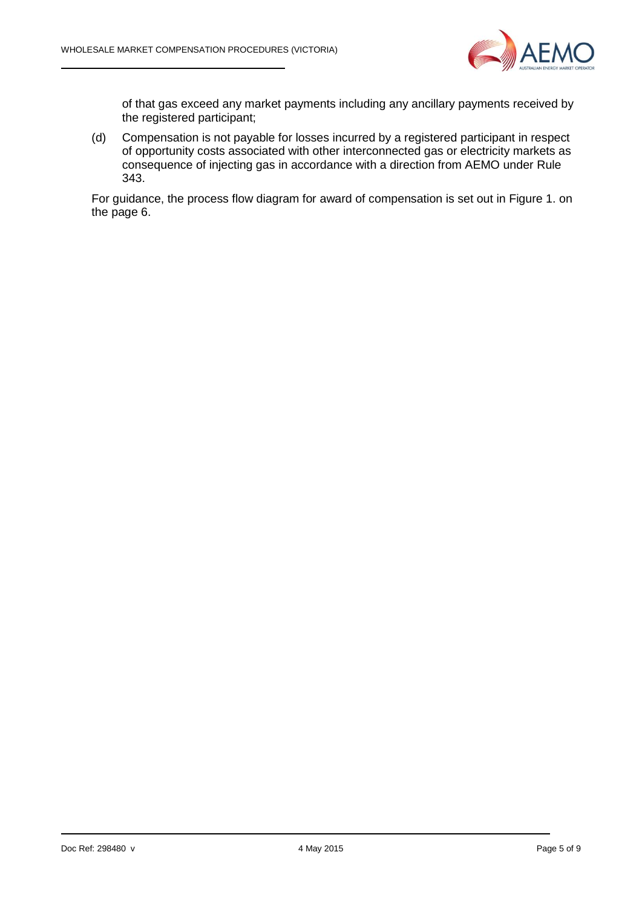

of that gas exceed any market payments including any ancillary payments received by the registered participant;

(d) Compensation is not payable for losses incurred by a registered participant in respect of opportunity costs associated with other interconnected gas or electricity markets as consequence of injecting gas in accordance with a direction from AEMO under Rule 343.

For guidance, the process flow diagram for award of compensation is set out in Figure 1. on the page 6.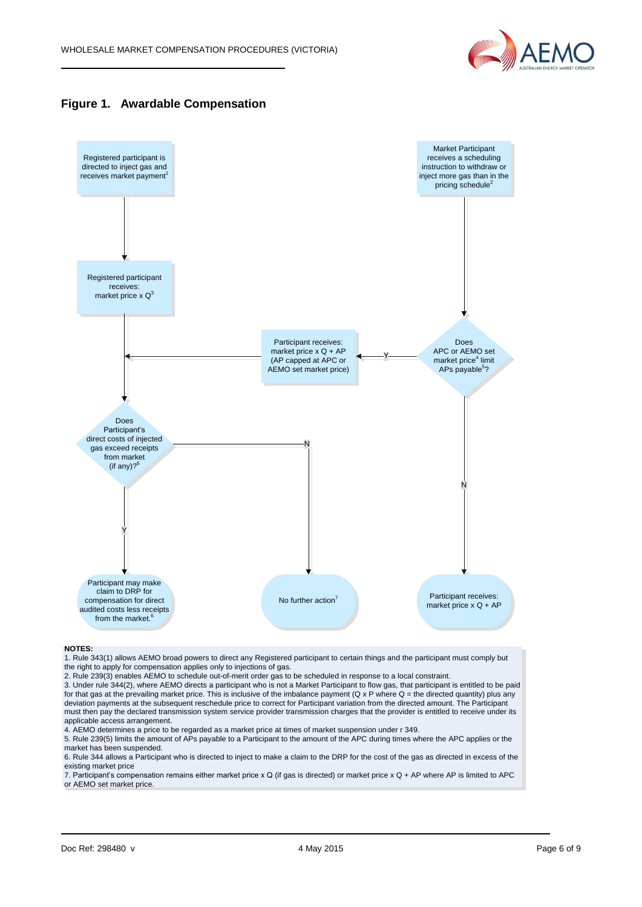





#### **NOTES:**

1. Rule 343(1) allows AEMO broad powers to direct any Registered participant to certain things and the participant must comply but the right to apply for compensation applies only to injections of gas.

2. Rule 239(3) enables AEMO to schedule out-of-merit order gas to be scheduled in response to a local constraint.

3. Under rule 344(2), where AEMO directs a participant who is not a Market Participant to flow gas, that participant is entitled to be paid for that gas at the prevailing market price. This is inclusive of the imbalance payment (Q x P where  $Q =$  the directed quantity) plus any deviation payments at the subsequent reschedule price to correct for Participant variation from the directed amount. The Participant must then pay the declared transmission system service provider transmission charges that the provider is entitled to receive under its applicable access arrangement.

4. AEMO determines a price to be regarded as a market price at times of market suspension under r 349.

5. Rule 239(5) limits the amount of APs payable to a Participant to the amount of the APC during times where the APC applies or the market has been suspended.

6. Rule 344 allows a Participant who is directed to inject to make a claim to the DRP for the cost of the gas as directed in excess of the existing market price

7. Participant's compensation remains either market price x Q (if gas is directed) or market price x Q + AP where AP is limited to APC or AEMO set market price.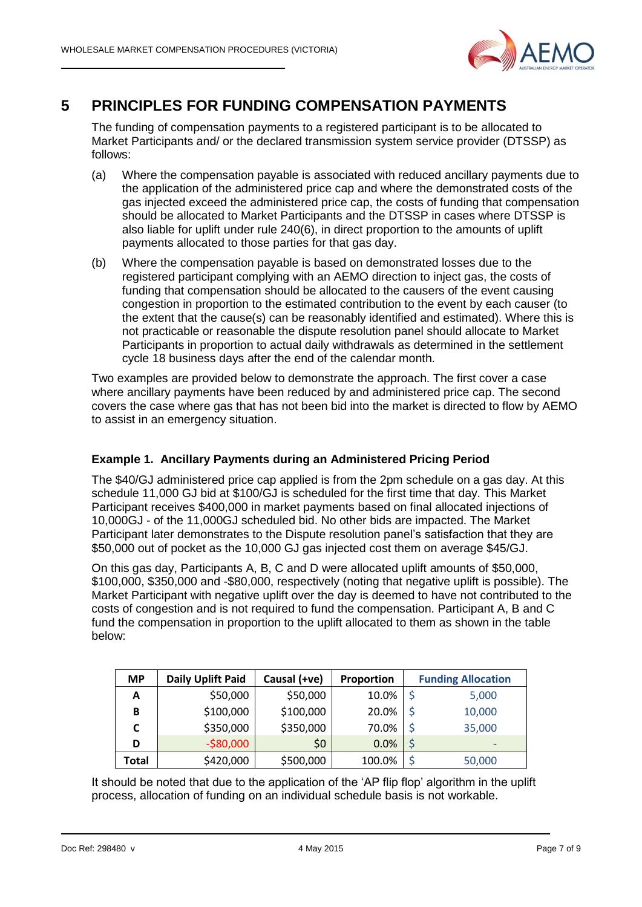

### **5 PRINCIPLES FOR FUNDING COMPENSATION PAYMENTS**

The funding of compensation payments to a registered participant is to be allocated to Market Participants and/ or the declared transmission system service provider (DTSSP) as follows:

- (a) Where the compensation payable is associated with reduced ancillary payments due to the application of the administered price cap and where the demonstrated costs of the gas injected exceed the administered price cap, the costs of funding that compensation should be allocated to Market Participants and the DTSSP in cases where DTSSP is also liable for uplift under rule 240(6), in direct proportion to the amounts of uplift payments allocated to those parties for that gas day.
- (b) Where the compensation payable is based on demonstrated losses due to the registered participant complying with an AEMO direction to inject gas, the costs of funding that compensation should be allocated to the causers of the event causing congestion in proportion to the estimated contribution to the event by each causer (to the extent that the cause(s) can be reasonably identified and estimated). Where this is not practicable or reasonable the dispute resolution panel should allocate to Market Participants in proportion to actual daily withdrawals as determined in the settlement cycle 18 business days after the end of the calendar month.

Two examples are provided below to demonstrate the approach. The first cover a case where ancillary payments have been reduced by and administered price cap. The second covers the case where gas that has not been bid into the market is directed to flow by AEMO to assist in an emergency situation.

#### **Example 1. Ancillary Payments during an Administered Pricing Period**

The \$40/GJ administered price cap applied is from the 2pm schedule on a gas day. At this schedule 11,000 GJ bid at \$100/GJ is scheduled for the first time that day. This Market Participant receives \$400,000 in market payments based on final allocated injections of 10,000GJ - of the 11,000GJ scheduled bid. No other bids are impacted. The Market Participant later demonstrates to the Dispute resolution panel's satisfaction that they are \$50,000 out of pocket as the 10,000 GJ gas injected cost them on average \$45/GJ.

On this gas day, Participants A, B, C and D were allocated uplift amounts of \$50,000, \$100,000, \$350,000 and -\$80,000, respectively (noting that negative uplift is possible). The Market Participant with negative uplift over the day is deemed to have not contributed to the costs of congestion and is not required to fund the compensation. Participant A, B and C fund the compensation in proportion to the uplift allocated to them as shown in the table below:

| <b>MP</b> | <b>Daily Uplift Paid</b> | Causal (+ve) | <b>Proportion</b> | <b>Funding Allocation</b> |                          |  |
|-----------|--------------------------|--------------|-------------------|---------------------------|--------------------------|--|
| Α         | \$50,000                 | \$50,000     | 10.0%             |                           | 5,000                    |  |
| В         | \$100,000                | \$100,000    | 20.0%             |                           | 10,000                   |  |
|           | \$350,000                | \$350,000    | 70.0%             |                           | 35,000                   |  |
| D         | $-$80,000$               | \$0          | 0.0%              |                           | $\overline{\phantom{0}}$ |  |
| Total     | \$420,000                | \$500,000    | 100.0%            |                           | 50,000                   |  |

It should be noted that due to the application of the 'AP flip flop' algorithm in the uplift process, allocation of funding on an individual schedule basis is not workable.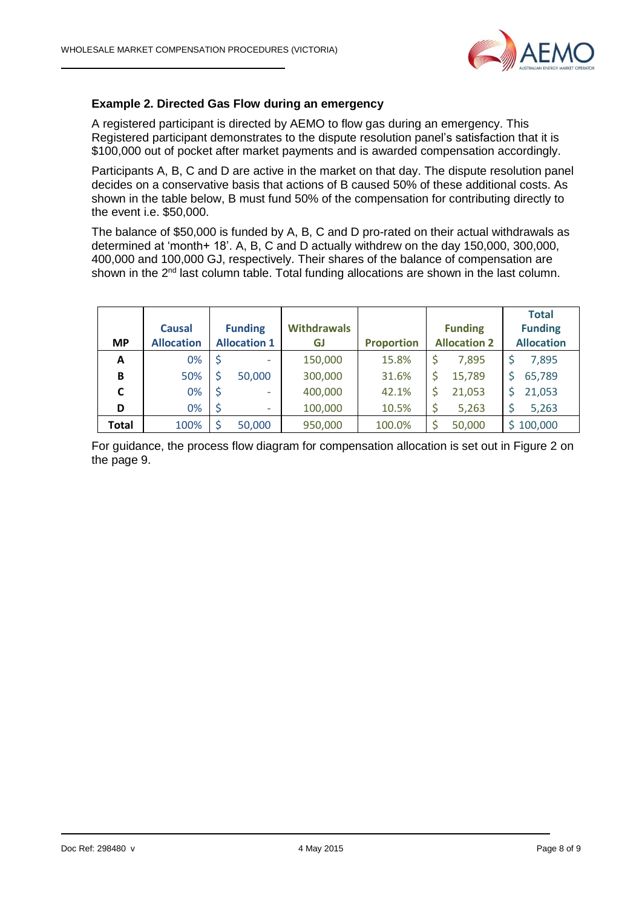

#### **Example 2. Directed Gas Flow during an emergency**

A registered participant is directed by AEMO to flow gas during an emergency. This Registered participant demonstrates to the dispute resolution panel's satisfaction that it is \$100,000 out of pocket after market payments and is awarded compensation accordingly.

Participants A, B, C and D are active in the market on that day. The dispute resolution panel decides on a conservative basis that actions of B caused 50% of these additional costs. As shown in the table below, B must fund 50% of the compensation for contributing directly to the event i.e. \$50,000.

The balance of \$50,000 is funded by A, B, C and D pro-rated on their actual withdrawals as determined at 'month+ 18'. A, B, C and D actually withdrew on the day 150,000, 300,000, 400,000 and 100,000 GJ, respectively. Their shares of the balance of compensation are shown in the 2<sup>nd</sup> last column table. Total funding allocations are shown in the last column.

| <b>MP</b> | <b>Causal</b><br><b>Allocation</b> | <b>Funding</b><br><b>Allocation 1</b> | <b>Withdrawals</b><br>GJ | <b>Proportion</b> | <b>Funding</b><br><b>Allocation 2</b> | <b>Total</b><br><b>Funding</b><br><b>Allocation</b> |
|-----------|------------------------------------|---------------------------------------|--------------------------|-------------------|---------------------------------------|-----------------------------------------------------|
| A         | 0%                                 | ٠                                     | 150,000                  | 15.8%             | \$<br>7,895                           | 7,895                                               |
| B         | 50%                                | 50,000                                | 300,000                  | 31.6%             | \$<br>15,789                          | 65,789                                              |
| C         | 0%                                 | $\overline{\phantom{0}}$              | 400,000                  | 42.1%             | \$<br>21,053                          | 21,053                                              |
| D         | 0%                                 | ٠                                     | 100,000                  | 10.5%             | \$<br>5,263                           | 5,263                                               |
| Total     | 100%                               | 50,000                                | 950,000                  | 100.0%            | \$<br>50,000                          | \$100,000                                           |

For guidance, the process flow diagram for compensation allocation is set out in Figure 2 on the page 9.